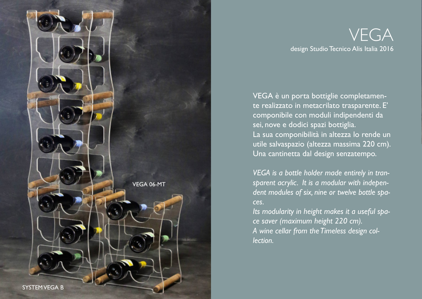

# VEGA design Studio Tecnico Alis Italia 2016

VEGA è un porta bottiglie completamente realizzato in metacrilato trasparente. E' componibile con moduli indipendenti da sei, nove e dodici spazi bottiglia. La sua componibilità in altezza lo rende un utile salvaspazio (altezza massima 220 cm). Una cantinetta dal design senzatempo.

*VEGA is a bottle holder made entirely in transparent acrylic. It is a modular with independent modules of six, nine or twelve bottle spaces.*

*Its modularity in height makes it a useful space saver (maximum height 220 cm). A wine cellar from the Timeless design collection.*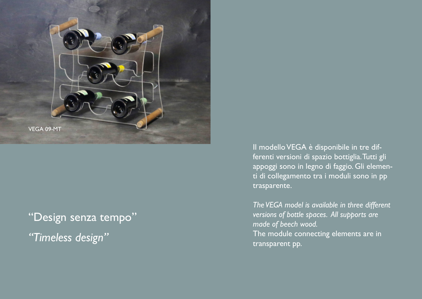

"Design senza tempo" *"Timeless design"*

Il modello VEGA è disponibile in tre differenti versioni di spazio bottiglia. Tutti gli appoggi sono in legno di faggio. Gli elementi di collegamento tra i moduli sono in pp trasparente.

*The VEGA model is available in three different versions of bottle spaces. All supports are made of beech wood.* The module connecting elements are in transparent pp.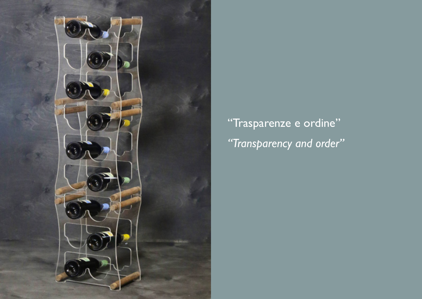

"Trasparenze e ordine" *"Transparency and order"*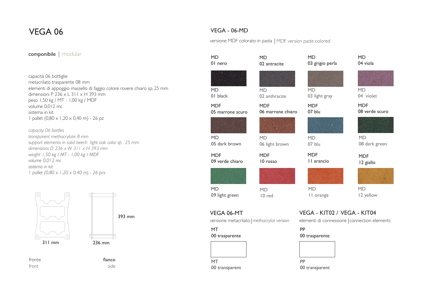## VEGA 06

### componibile | modular

#### capacità 06 bottiglie metacrilato trasparente 08 mm elementi di appoggio massello di faggio colore rovere chiaro sp. 25 mm dimensioni P  $236 \times L$  311  $\times$  H 393 mm peso 1,50 kg / MT - 1,00 kg / MDF volume 0,012 mc sistema in kit 1 pallet (0,80 x 1,20 x 0,40 m) - 26 pz

*capacity 06 bottles transparent methacrylate 8 mm support elements in solid beech light oak color sp . 25 mm dimensions D 236 x W 311 x H 393 mm weight 1,50 kg / MT - 1,00 kg / MDF volume 0,012 mc sistema in kit 1 pallet (0,80 x 1,20 x 0,40 m) - 26 pcs*





fronte fianco fianco front side

## VEGA - 06-MD

versione MDF colorato in pasta | MDF version paste colored

| <b>MD</b><br>01 nero           | <b>MD</b><br>02 antracite                  | <b>MD</b><br>03 grigio perla | <b>MD</b><br>04 viola                                                      |  |
|--------------------------------|--------------------------------------------|------------------------------|----------------------------------------------------------------------------|--|
|                                |                                            |                              |                                                                            |  |
| <b>MD</b><br>01 black          | <b>MD</b><br>02 anthracite                 | <b>MD</b><br>03 light gray   | <b>MD</b><br>04 violet                                                     |  |
| <b>MDF</b><br>05 marrone scuro | <b>MDF</b><br>06 marrone chiaro            | <b>MDF</b><br>07 blu         | <b>MDF</b><br>08 verde scuro                                               |  |
|                                |                                            |                              |                                                                            |  |
| <b>MD</b><br>05 dark brown     | <b>MD</b><br>06 light brown                | <b>MD</b><br>07 blu          | <b>MD</b><br>08 dark green                                                 |  |
| <b>MDF</b><br>09 verde chiaro  | <b>MDF</b><br>10 rosso                     | <b>MDF</b><br>II arancio     | <b>MDF</b><br>12 giallo                                                    |  |
|                                |                                            |                              |                                                                            |  |
| <b>MD</b><br>09 light green    | <b>MD</b><br>10 red                        | <b>MD</b><br>II orange       | <b>MD</b><br>12 yellow                                                     |  |
| VEGA 06-MT                     | versione metacrilato   methacrylat version |                              | VEGA - KIT02 / VEGA - KIT04<br>elementi di connessione connection elements |  |
| <b>MT</b><br>00 trasparente    |                                            |                              | PP<br>00 trasparente                                                       |  |
|                                |                                            |                              |                                                                            |  |
| <b>MT</b>                      |                                            | PP                           |                                                                            |  |
| 00 transparent                 |                                            | 00 transparent               |                                                                            |  |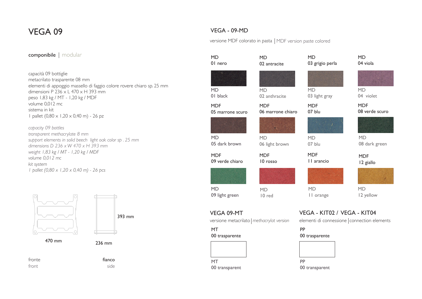## VEGA 09

### VEGA - 09-MD

versione MDF colorato in pasta | MDF version paste colored

#### capacità 09 bottiglie metacrilato trasparente 08 mm elementi di appoggio massello di faggio colore rovere chiaro sp. 25 mm dimensioni P 236 x L 470 x H 393 mm peso 1,83 kg / MT - 1,20 kg / MDF volume 0,012 mc sistema in kit 1 pallet (0,80 x 1,20 x 0,40 m) - 26 pz *capacity 09 bottles transparent methacrylate 8 mm support elements in solid beech light oak color sp . 25 mm dimensions D 236 x W 470 x H 393 mm weight 1,83 kg / MT - 1,20 kg / MDF volume 0,012 mc kit system 1 pallet (0,80 x 1,20 x 0,40 m) - 26 pcs* componibile | modular fronte fianco fianco front side 393 mm 236 mm 470 mm MD 01 nero MD 01 black MD 02 anthracite MD 03 grigio perla MD 03 light gray MD 04 viola MD 04 violet MDF 06 marrone chiaro MDF 05 marrone scuro MD 05 dark brown MD 06 light brown MDF 07 blu MD 07 blu MDF 08 verde scuro MD 08 dark green MDF 10 rosso MDF 09 verde chiaro MD 09 light green MDF 11 arancio MD 11 orange MDF 12 giallo MD 12 yellow MD 02 antracite VEGA 09-MT versione metacrilato *methacrylat version* MT 00 trasparente MT 00 transparent MD 10 red VEGA - KIT02 / VEGA - KIT04 elementi di connessione connection elements PP 00 trasparente PP 00 transparent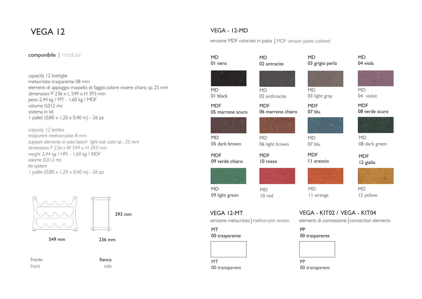# VEGA 12

## VEGA - 12-MD

versione MDF colorato in pasta | MDF version paste colored

#### capacità 12 bottiglie metacrilato trasparente 08 mm elementi di appoggio massello di faggio colore rovere chiaro sp. 25 mm dimensioni P 236  $\times$  L 549  $\times$  H 393 mm peso 2,44 kg / MT - 1,60 kg / MDF volume 0,012 mc sistema in kit 1 pallet  $(0.80 \times 1.20 \times 0.40 \text{ m})$  - 26 pz *capacity 12 bottles trasparent methacrylate 8 mm support elements in solid beech light oak color sp . 25 mm dimensions P 236 x W 549 x H 393 mm weight 2,44 kg / HPL - 1,60 kg / MDF volume 0,012 mc kit system 1 pallet (0,80 x 1,20 x 0,40 m) - 26 pz* fronte fianco front side 393 mm 549 mm 236 mm MD 01 nero MD 01 black MD 02 anthracite MD 03 grigio perla MD 03 light gray MD 04 viola MD 04 violet MDF 06 marrone chiaro MDF 05 marrone scuro MD 05 dark brown MD 06 light brown MDF 07 blu MD 07 blu MDF 08 verde scuro MD 08 dark green MDF 10 rosso MDF 09 verde chiaro MD 09 light green MDF 11 arancio MD 11 orange MDF 12 giallo MD 12 yellow MD 02 antracite VEGA 12-MT versione metacrilato *methacrylat version* MT 00 trasparente MT 00 transparent MD 10 red VEGA - KIT02 / VEGA - KIT04 elementi di connessione connection elements PP 00 trasparente PP 00 transparent componibile | modular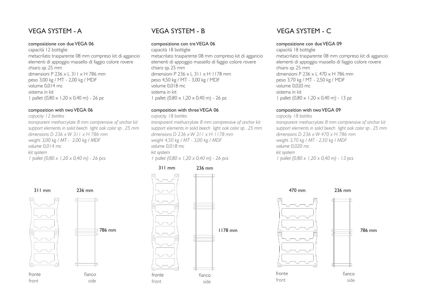## VEGA SYSTEM - A

#### composizione con due VEGA 06

capacità 12 bottiglie metacrilato trasparente 08 mm compreso kit di aggancio elementi di appoggio massello di faggio colore rovere chiaro sp. 25 mm dimensioni P 236 x L 311 x H 786 mm peso 3,00 kg / MT - 2,00 kg / MDF volume 0,014 mc sistema in kit 1 pallet  $(0.80 \times 1.20 \times 0.40 \text{ m})$  - 26 pz

#### composition with two VEGA 06

*capacity 12 bottles transparent methacrylate 8 mm comprensive of anchor kit support elements in solid beech light oak color sp . 25 mm dimensions D 236 x W 311 x H 786 mm weight 3,00 kg / MT - 2,00 kg / MDF volume 0,014 mc kit system 1 pallet (0,80 x 1,20 x 0,40 m) - 26 pcs*



front side

786 mm



# fianco side 1178 mm 311 mm 236 mm

## VEGA SYSTEM - B

#### composizione con tre VEGA 06

capacità 18 bottiglie metacrilato trasparente 08 mm compreso kit di aggancio elementi di appoggio massello di faggio colore rovere chiaro sp. 25 mm dimensioni P 236 x L 311 x H 1178 mm peso 4,50 kg / MT - 3,00 kg / MDF volume 0,018 mc sistema in kit 1 pallet  $(0.80 \times 1.20 \times 0.40 \text{ m})$  - 26 pz

#### composition with three VEGA 06

*capacity 18 bottles transparent methacrylate 8 mm comprensive of anchor kit support elements in solid beech light oak color sp . 25 mm dimensions D 236 x W 311 x H 1178 mm weight 4,50 kg / MT - 3,00 kg / MDF volume 0,018 mc kit system 1 pallet (0,80 x 1,20 x 0,40 m) - 26 pcs*

## VEGA SYSTEM - C

#### composizione con due VEGA 09

capacità 18 bottiglie metacrilato trasparente 08 mm compreso kit di aggancio elementi di appoggio massello di faggio colore rovere chiaro sp. 25 mm dimensioni P 236 x L 470 x H 786 mm peso 3,70 kg / MT - 2,50 kg / MDF volume 0,020 mc sistema in kit 1 pallet  $(0.80 \times 1.20 \times 0.40 \text{ m})$  - 13 pz

#### composition with two VEGA 09

*capacity 18 bottles transparent methacrylate 8 mm comprensive of anchor kit support elements in solid beech light oak color sp . 25 mm dimensions D 236 x W 470 x H 786 mm weight 3,70 kg / MT - 2,50 kg / MDF volume 0,020 mc kit system 1 pallet (0,80 x 1,20 x 0,40 m) - 13 pcs*